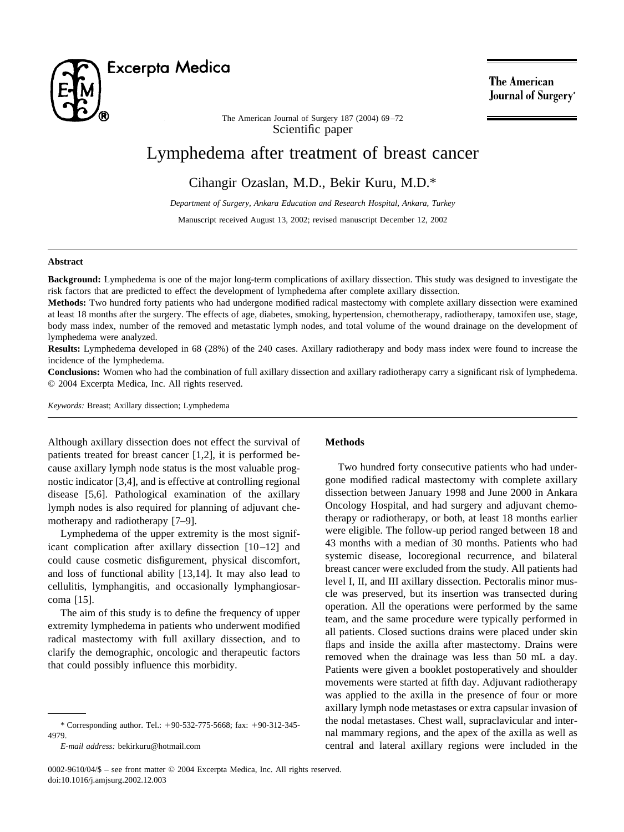

The American **Journal of Surgery**<sup>®</sup>

Scientific paper The American Journal of Surgery 187 (2004) 69–72

# Lymphedema after treatment of breast cancer

Cihangir Ozaslan, M.D., Bekir Kuru, M.D.\*

*Department of Surgery, Ankara Education and Research Hospital, Ankara, Turkey*

Manuscript received August 13, 2002; revised manuscript December 12, 2002

#### **Abstract**

**Background:** Lymphedema is one of the major long-term complications of axillary dissection. This study was designed to investigate the risk factors that are predicted to effect the development of lymphedema after complete axillary dissection.

**Methods:** Two hundred forty patients who had undergone modified radical mastectomy with complete axillary dissection were examined at least 18 months after the surgery. The effects of age, diabetes, smoking, hypertension, chemotherapy, radiotherapy, tamoxifen use, stage, body mass index, number of the removed and metastatic lymph nodes, and total volume of the wound drainage on the development of lymphedema were analyzed.

**Results:** Lymphedema developed in 68 (28%) of the 240 cases. Axillary radiotherapy and body mass index were found to increase the incidence of the lymphedema.

**Conclusions:** Women who had the combination of full axillary dissection and axillary radiotherapy carry a significant risk of lymphedema. © 2004 Excerpta Medica, Inc. All rights reserved.

*Keywords:* Breast; Axillary dissection; Lymphedema

Although axillary dissection does not effect the survival of patients treated for breast cancer [\[1,2\],](#page-2-0) it is performed because axillary lymph node status is the most valuable prognostic indicator [\[3,4\],](#page-2-0) and is effective at controlling regional disease [\[5,6\].](#page-2-0) Pathological examination of the axillary lymph nodes is also required for planning of adjuvant chemotherapy and radiotherapy [\[7–9\].](#page-2-0)

Lymphedema of the upper extremity is the most significant complication after axillary dissection [\[10–12\]](#page-2-0) and could cause cosmetic disfigurement, physical discomfort, and loss of functional ability [\[13,14\].](#page-3-0) It may also lead to cellulitis, lymphangitis, and occasionally lymphangiosarcoma [\[15\].](#page-3-0)

The aim of this study is to define the frequency of upper extremity lymphedema in patients who underwent modified radical mastectomy with full axillary dissection, and to clarify the demographic, oncologic and therapeutic factors that could possibly influence this morbidity.

#### **Methods**

Two hundred forty consecutive patients who had undergone modified radical mastectomy with complete axillary dissection between January 1998 and June 2000 in Ankara Oncology Hospital, and had surgery and adjuvant chemotherapy or radiotherapy, or both, at least 18 months earlier were eligible. The follow-up period ranged between 18 and 43 months with a median of 30 months. Patients who had systemic disease, locoregional recurrence, and bilateral breast cancer were excluded from the study. All patients had level I, II, and III axillary dissection. Pectoralis minor muscle was preserved, but its insertion was transected during operation. All the operations were performed by the same team, and the same procedure were typically performed in all patients. Closed suctions drains were placed under skin flaps and inside the axilla after mastectomy. Drains were removed when the drainage was less than 50 mL a day. Patients were given a booklet postoperatively and shoulder movements were started at fifth day. Adjuvant radiotherapy was applied to the axilla in the presence of four or more axillary lymph node metastases or extra capsular invasion of the nodal metastases. Chest wall, supraclavicular and internal mammary regions, and the apex of the axilla as well as central and lateral axillary regions were included in the

<sup>\*</sup> Corresponding author. Tel.:  $+90-532-775-5668$ ; fax:  $+90-312-345-$ 4979.

*E-mail address:* bekirkuru@hotmail.com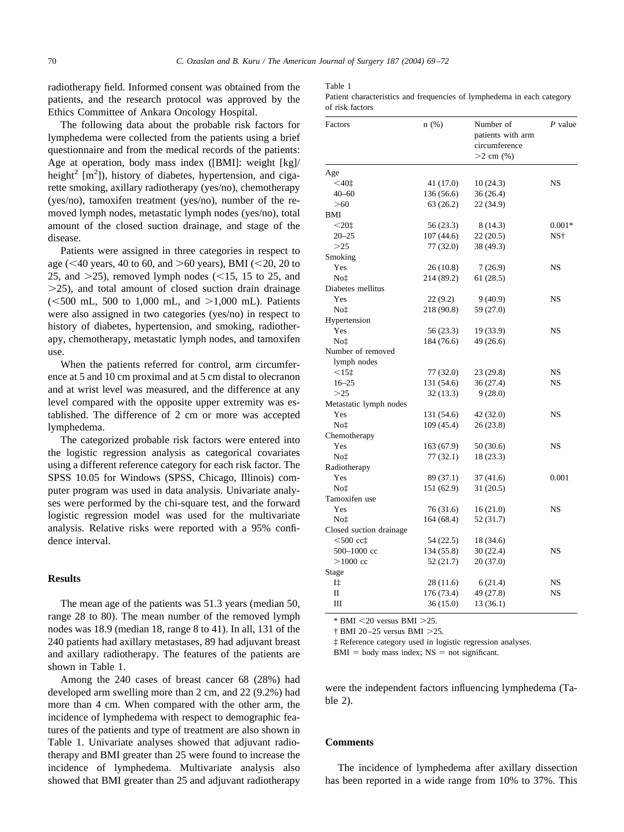radiotherapy field. Informed consent was obtained from the patients, and the research protocol was approved by the Ethics Committee of Ankara Oncology Hospital.

The following data about the probable risk factors for lymphedema were collected from the patients using a brief questionnaire and from the medical records of the patients: Age at operation, body mass index ([BMI]: weight [kg]/ height<sup>2</sup>  $[m<sup>2</sup>]$ ), history of diabetes, hypertension, and cigarette smoking, axillary radiotherapy (yes/no), chemotherapy (yes/no), tamoxifen treatment (yes/no), number of the removed lymph nodes, metastatic lymph nodes (yes/no), total amount of the closed suction drainage, and stage of the disease.

Patients were assigned in three categories in respect to age ( $\leq$ 40 years, 40 to 60, and  $>$  60 years), BMI ( $\leq$ 20, 20 to 25, and  $>$ 25), removed lymph nodes (<15, 15 to 25, and  $>$ 25), and total amount of closed suction drain drainage  $(<500$  mL,  $500$  to 1,000 mL, and  $>1,000$  mL). Patients were also assigned in two categories (yes/no) in respect to history of diabetes, hypertension, and smoking, radiotherapy, chemotherapy, metastatic lymph nodes, and tamoxifen use.

When the patients referred for control, arm circumference at 5 and 10 cm proximal and at 5 cm distal to olecranon and at wrist level was measured, and the difference at any level compared with the opposite upper extremity was established. The difference of 2 cm or more was accepted lymphedema.

The categorized probable risk factors were entered into the logistic regression analysis as categorical covariates using a different reference category for each risk factor. The SPSS 10.05 for Windows (SPSS, Chicago, Illinois) computer program was used in data analysis. Univariate analyses were performed by the chi-square test, and the forward logistic regression model was used for the multivariate analysis. Relative risks were reported with a 95% confidence interval.

## **Results**

The mean age of the patients was 51.3 years (median 50, range 28 to 80). The mean number of the removed lymph nodes was 18.9 (median 18, range 8 to 41). In all, 131 of the 240 patients had axillary metastases, 89 had adjuvant breast and axillary radiotherapy. The features of the patients are shown in Table 1.

Among the 240 cases of breast cancer 68 (28%) had developed arm swelling more than 2 cm, and 22 (9.2%) had more than 4 cm. When compared with the other arm, the incidence of lymphedema with respect to demographic features of the patients and type of treatment are also shown in Table 1. Univariate analyses showed that adjuvant radiotherapy and BMI greater than 25 were found to increase the incidence of lymphedema. Multivariate analysis also showed that BMI greater than 25 and adjuvant radiotherapy Table 1

|                 | Patient characteristics and frequencies of lymphedema in each category |  |  |  |  |
|-----------------|------------------------------------------------------------------------|--|--|--|--|
| of risk factors |                                                                        |  |  |  |  |

| Factors                 | n(%)                   | Number of<br>patients with arm<br>circumference<br>$>2$ cm $(\% )$ | P value   |  |
|-------------------------|------------------------|--------------------------------------------------------------------|-----------|--|
| Age                     |                        |                                                                    |           |  |
| $<$ 40 $\ddagger$       | 41 (17.0)              | 10(24.3)                                                           | NS        |  |
| $40 - 60$               | 136 (56.6)             | 36(26.4)                                                           |           |  |
| >60                     | 63 (26.2)              | 22 (34.9)                                                          |           |  |
| BMI                     |                        |                                                                    |           |  |
|                         |                        |                                                                    | $0.001*$  |  |
| $201$<br>$20 - 25$      | 56 (23.3)<br>107(44.6) | 8 (14.3)<br>22(20.5)                                               | NS†       |  |
| >25                     |                        | 38 (49.3)                                                          |           |  |
|                         | 77 (32.0)              |                                                                    |           |  |
| Smoking<br>Yes          | 26(10.8)               | 7(26.9)                                                            | <b>NS</b> |  |
|                         |                        |                                                                    |           |  |
| Not                     | 214 (89.2)             | 61(28.5)                                                           |           |  |
| Diabetes mellitus       |                        |                                                                    |           |  |
| Yes                     | 22(9.2)                | 9(40.9)                                                            | <b>NS</b> |  |
| No‡                     | 218 (90.8)             | 59 (27.0)                                                          |           |  |
| Hypertension            |                        |                                                                    |           |  |
| Yes                     | 56(23.3)               | 19 (33.9)                                                          | <b>NS</b> |  |
| Not                     | 184 (76.6)             | 49 (26.6)                                                          |           |  |
| Number of removed       |                        |                                                                    |           |  |
| lymph nodes             |                        |                                                                    |           |  |
| $<15$ ‡                 | 77 (32.0)              | 23 (29.8)                                                          | <b>NS</b> |  |
| $16 - 25$               | 131 (54.6)             | 36(27.4)                                                           | NS        |  |
| >25                     | 32 (13.3)              | 9(28.0)                                                            |           |  |
| Metastatic lymph nodes  |                        |                                                                    |           |  |
| Yes                     | 131 (54.6)             | 42 (32.0)                                                          | NS        |  |
| No‡                     | 109 (45.4)             | 26(23.8)                                                           |           |  |
| Chemotherapy            |                        |                                                                    |           |  |
| Yes                     | 163 (67.9)             | 50 (30.6)                                                          | <b>NS</b> |  |
| No‡                     | 77 (32.1)              | 18 (23.3)                                                          |           |  |
| Radiotherapy            |                        |                                                                    |           |  |
| Yes                     | 89 (37.1)              | 37(41.6)                                                           | 0.001     |  |
| No‡                     | 151 (62.9)             | 31(20.5)                                                           |           |  |
| Tamoxifen use           |                        |                                                                    |           |  |
| Yes                     | 76 (31.6)              | 16(21.0)                                                           | <b>NS</b> |  |
| No‡                     | 164 (68.4)             | 52 (31.7)                                                          |           |  |
| Closed suction drainage |                        |                                                                    |           |  |
| $<$ 500 $<$ ct          | 54 (22.5)              | 18 (34.6)                                                          |           |  |
| 500-1000 cc             | 134 (55.8)             | 30 (22.4)                                                          | <b>NS</b> |  |
| $>1000$ cc              | 52 (21.7)              | 20(37.0)                                                           |           |  |
| Stage                   |                        |                                                                    |           |  |
| I‡                      | 28 (11.6)              | 6(21.4)                                                            | NS        |  |
| $\mathbf{I}$            | 176 (73.4)             | 49 (27.8)                                                          | <b>NS</b> |  |
| Ш                       | 36 (15.0)              | 13(36.1)                                                           |           |  |

 $*$  BMI  $<$  20 versus BMI  $>$  25.

† BMI 20–25 versus BMI 25.

‡ Reference category used in logistic regression analyses.

 $BMI = body mass index; NS = not significant.$ 

were the independent factors influencing lymphedema [\(Ta](#page-2-0)[ble 2\)](#page-2-0).

## **Comments**

The incidence of lymphedema after axillary dissection has been reported in a wide range from 10% to 37%. This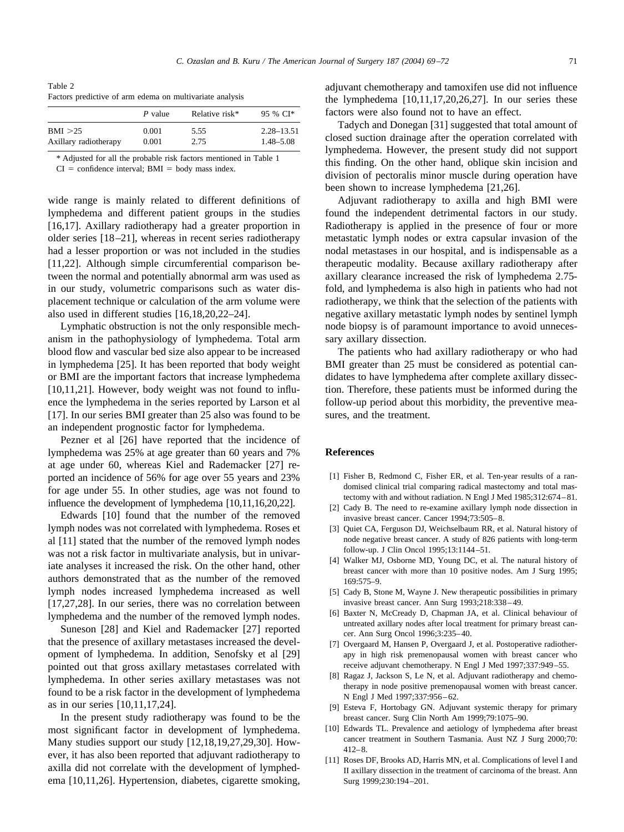<span id="page-2-0"></span>Table 2 Factors predictive of arm edema on multivariate analysis

|                       | P value | Relative risk* | 95 % CI*       |
|-----------------------|---------|----------------|----------------|
| BMI > 25              | 0.001   | 5.55           | $2.28 - 13.51$ |
| Axillary radiotherapy | 0.001   | 2.75           | $1.48 - 5.08$  |

\* Adjusted for all the probable risk factors mentioned in Table 1

 $CI =$  confidence interval;  $BMI =$  body mass index.

wide range is mainly related to different definitions of lymphedema and different patient groups in the studies [\[16,17\].](#page-3-0) Axillary radiotherapy had a greater proportion in older series [\[18–21\],](#page-3-0) whereas in recent series radiotherapy had a lesser proportion or was not included in the studies [11,22]. Although simple circumferential comparison between the normal and potentially abnormal arm was used as in our study, volumetric comparisons such as water displacement technique or calculation of the arm volume were also used in different studies [\[16,18,20,22–24\].](#page-3-0)

Lymphatic obstruction is not the only responsible mechanism in the pathophysiology of lymphedema. Total arm blood flow and vascular bed size also appear to be increased in lymphedema [\[25\].](#page-3-0) It has been reported that body weight or BMI are the important factors that increase lymphedema [10,11,21]. However, body weight was not found to influence the lymphedema in the series reported by Larson et al [\[17\].](#page-3-0) In our series BMI greater than 25 also was found to be an independent prognostic factor for lymphedema.

Pezner et al [\[26\]](#page-3-0) have reported that the incidence of lymphedema was 25% at age greater than 60 years and 7% at age under 60, whereas Kiel and Rademacker [\[27\]](#page-3-0) reported an incidence of 56% for age over 55 years and 23% for age under 55. In other studies, age was not found to influence the development of lymphedema [10,11,16,20,22].

Edwards [10] found that the number of the removed lymph nodes was not correlated with lymphedema. Roses et al [11] stated that the number of the removed lymph nodes was not a risk factor in multivariate analysis, but in univariate analyses it increased the risk. On the other hand, other authors demonstrated that as the number of the removed lymph nodes increased lymphedema increased as well [\[17,27,28\].](#page-3-0) In our series, there was no correlation between lymphedema and the number of the removed lymph nodes.

Suneson [\[28\]](#page-3-0) and Kiel and Rademacker [\[27\]](#page-3-0) reported that the presence of axillary metastases increased the development of lymphedema. In addition, Senofsky et al [\[29\]](#page-3-0) pointed out that gross axillary metastases correlated with lymphedema. In other series axillary metastases was not found to be a risk factor in the development of lymphedema as in our series [10,11,17,24].

In the present study radiotherapy was found to be the most significant factor in development of lymphedema. Many studies support our study [\[12,18,19,27,29,30\].](#page-3-0) However, it has also been reported that adjuvant radiotherapy to axilla did not correlate with the development of lymphedema [10,11,26]. Hypertension, diabetes, cigarette smoking, adjuvant chemotherapy and tamoxifen use did not influence the lymphedema  $[10,11,17,20,26,27]$ . In our series these factors were also found not to have an effect.

Tadych and Donegan [\[31\]](#page-3-0) suggested that total amount of closed suction drainage after the operation correlated with lymphedema. However, the present study did not support this finding. On the other hand, oblique skin incision and division of pectoralis minor muscle during operation have been shown to increase lymphedema [\[21,26\].](#page-3-0)

Adjuvant radiotherapy to axilla and high BMI were found the independent detrimental factors in our study. Radiotherapy is applied in the presence of four or more metastatic lymph nodes or extra capsular invasion of the nodal metastases in our hospital, and is indispensable as a therapeutic modality. Because axillary radiotherapy after axillary clearance increased the risk of lymphedema 2.75 fold, and lymphedema is also high in patients who had not radiotherapy, we think that the selection of the patients with negative axillary metastatic lymph nodes by sentinel lymph node biopsy is of paramount importance to avoid unnecessary axillary dissection.

The patients who had axillary radiotherapy or who had BMI greater than 25 must be considered as potential candidates to have lymphedema after complete axillary dissection. Therefore, these patients must be informed during the follow-up period about this morbidity, the preventive measures, and the treatment.

#### **References**

- [1] Fisher B, Redmond C, Fisher ER, et al. Ten-year results of a randomised clinical trial comparing radical mastectomy and total mastectomy with and without radiation. N Engl J Med 1985;312:674–81.
- [2] Cady B. The need to re-examine axillary lymph node dissection in invasive breast cancer. Cancer 1994;73:505–8.
- [3] Quiet CA, Ferguson DJ, Weichselbaum RR, et al. Natural history of node negative breast cancer. A study of 826 patients with long-term follow-up. J Clin Oncol 1995;13:1144–51.
- [4] Walker MJ, Osborne MD, Young DC, et al. The natural history of breast cancer with more than 10 positive nodes. Am J Surg 1995; 169:575–9.
- [5] Cady B, Stone M, Wayne J. New therapeutic possibilities in primary invasive breast cancer. Ann Surg 1993;218:338–49.
- [6] Baxter N, McCready D, Chapman JA, et al. Clinical behaviour of untreated axillary nodes after local treatment for primary breast cancer. Ann Surg Oncol 1996;3:235–40.
- [7] Overgaard M, Hansen P, Overgaard J, et al. Postoperative radiotherapy in high risk premenopausal women with breast cancer who receive adjuvant chemotherapy. N Engl J Med 1997;337:949–55.
- [8] Ragaz J, Jackson S, Le N, et al. Adjuvant radiotherapy and chemotherapy in node positive premenopausal women with breast cancer. N Engl J Med 1997;337:956–62.
- [9] Esteva F, Hortobagy GN. Adjuvant systemic therapy for primary breast cancer. Surg Clin North Am 1999;79:1075–90.
- [10] Edwards TL. Prevalence and aetiology of lymphedema after breast cancer treatment in Southern Tasmania. Aust NZ J Surg 2000;70: 412–8.
- [11] Roses DF, Brooks AD, Harris MN, et al. Complications of level I and II axillary dissection in the treatment of carcinoma of the breast. Ann Surg 1999;230:194–201.